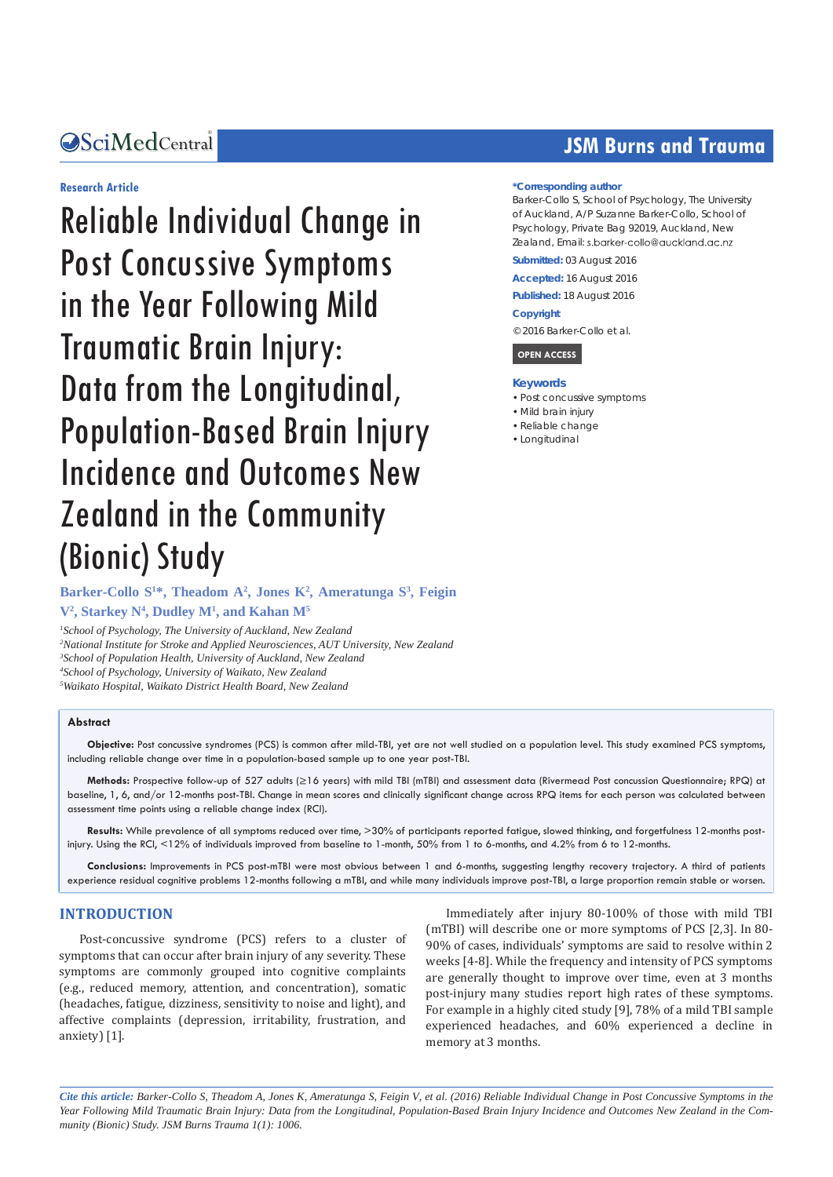### Central *Bringing Excellence in Open Access*

### **Research Article**

Reliable Individual Change in Post Concussive Symptoms in the Year Following Mild Traumatic Brain Injury: Data from the Longitudinal, Population-Based Brain Injury Incidence and Outcomes New Zealand in the Community (Bionic) Study

# **JSM Burns and Trauma**

#### **\*Corresponding author**

Barker-Collo S, School of Psychology, The University of Auckland, A/P Suzanne Barker-Collo, School of Psychology, Private Bag 92019, Auckland, New Zealand, Email: s.barker-collo@auckland.ac.nz

**Submitted:** 03 August 2016

**Accepted:** 16 August 2016

**Published:** 18 August 2016

#### **Copyright**

© 2016 Barker-Collo et al.



#### **Keywords**

- Post concussive symptoms
- • Mild brain injury
- • Reliable change
- • Longitudinal

# Barker-Collo S<sup>1\*</sup>, Theadom A<sup>2</sup>, Jones K<sup>2</sup>, Ameratunga S<sup>3</sup>, Feigin **V2 , Starkey N4 , Dudley M1 , and Kahan M5**

 *School of Psychology, The University of Auckland, New Zealand National Institute for Stroke and Applied Neurosciences, AUT University, New Zealand School of Population Health, University of Auckland, New Zealand School of Psychology, University of Waikato, New Zealand Waikato Hospital, Waikato District Health Board, New Zealand*

#### **Abstract**

**Objective:** Post concussive syndromes (PCS) is common after mild-TBI, yet are not well studied on a population level. This study examined PCS symptoms, including reliable change over time in a population-based sample up to one year post-TBI.

**Methods:** Prospective follow-up of 527 adults (≥16 years) with mild TBI (mTBI) and assessment data (Rivermead Post concussion Questionnaire; RPQ) at baseline, 1, 6, and/or 12-months post-TBI. Change in mean scores and clinically significant change across RPQ items for each person was calculated between assessment time points using a reliable change index (RCI).

**Results:** While prevalence of all symptoms reduced over time, >30% of participants reported fatigue, slowed thinking, and forgetfulness 12-months postinjury. Using the RCI, <12% of individuals improved from baseline to 1-month, 50% from 1 to 6-months, and 4.2% from 6 to 12-months.

**Conclusions:** Improvements in PCS post-mTBI were most obvious between 1 and 6-months, suggesting lengthy recovery trajectory. A third of patients experience residual cognitive problems 12-months following a mTBI, and while many individuals improve post-TBI, a large proportion remain stable or worsen.

### **INTRODUCTION**

Post-concussive syndrome (PCS) refers to a cluster of symptoms that can occur after brain injury of any severity. These symptoms are commonly grouped into cognitive complaints (e.g., reduced memory, attention, and concentration), somatic (headaches, fatigue, dizziness, sensitivity to noise and light), and affective complaints (depression, irritability, frustration, and anxiety) [1].

Immediately after injury 80-100% of those with mild TBI (mTBI) will describe one or more symptoms of PCS [2,3]. In 80- 90% of cases, individuals' symptoms are said to resolve within 2 weeks [4-8]. While the frequency and intensity of PCS symptoms are generally thought to improve over time, even at 3 months post-injury many studies report high rates of these symptoms. For example in a highly cited study [9], 78% of a mild TBI sample experienced headaches, and 60% experienced a decline in memory at 3 months.

*Cite this article: Barker-Collo S, Theadom A, Jones K, Ameratunga S, Feigin V, et al. (2016) Reliable Individual Change in Post Concussive Symptoms in the Year Following Mild Traumatic Brain Injury: Data from the Longitudinal, Population-Based Brain Injury Incidence and Outcomes New Zealand in the Community (Bionic) Study. JSM Burns Trauma 1(1): 1006.*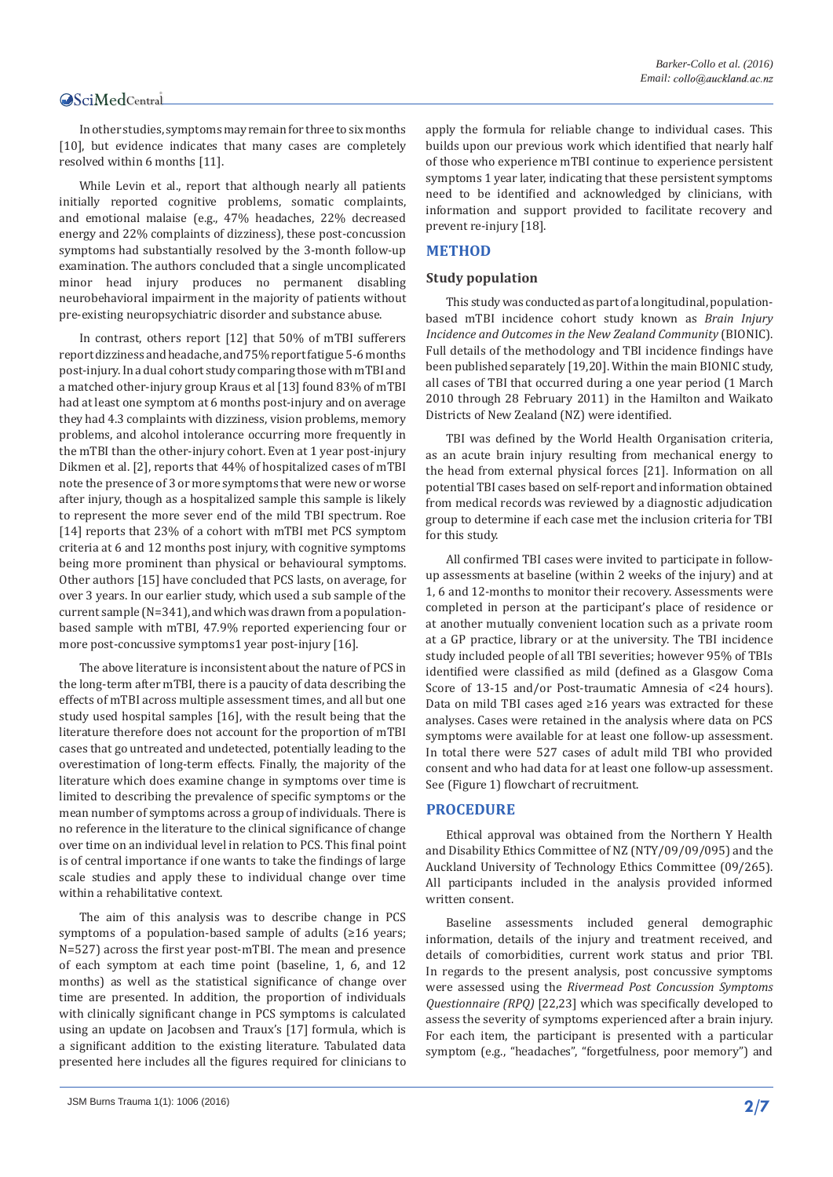In other studies, symptoms may remain for three to six months [10], but evidence indicates that many cases are completely resolved within 6 months [11].

While Levin et al., report that although nearly all patients initially reported cognitive problems, somatic complaints, and emotional malaise (e.g., 47% headaches, 22% decreased energy and 22% complaints of dizziness), these post-concussion symptoms had substantially resolved by the 3-month follow-up examination. The authors concluded that a single uncomplicated minor head injury produces no permanent disabling neurobehavioral impairment in the majority of patients without pre-existing neuropsychiatric disorder and substance abuse.

In contrast, others report [12] that 50% of mTBI sufferers report dizziness and headache, and 75% report fatigue 5-6 months post-injury. In a dual cohort study comparing those with mTBI and a matched other-injury group Kraus et al [13] found 83% of mTBI had at least one symptom at 6 months post-injury and on average they had 4.3 complaints with dizziness, vision problems, memory problems, and alcohol intolerance occurring more frequently in the mTBI than the other-injury cohort. Even at 1 year post-injury Dikmen et al. [2], reports that 44% of hospitalized cases of mTBI note the presence of 3 or more symptoms that were new or worse after injury, though as a hospitalized sample this sample is likely to represent the more sever end of the mild TBI spectrum. Roe [14] reports that 23% of a cohort with mTBI met PCS symptom criteria at 6 and 12 months post injury, with cognitive symptoms being more prominent than physical or behavioural symptoms. Other authors [15] have concluded that PCS lasts, on average, for over 3 years. In our earlier study, which used a sub sample of the current sample (N=341), and which was drawn from a populationbased sample with mTBI, 47.9% reported experiencing four or more post-concussive symptoms1 year post-injury [16].

The above literature is inconsistent about the nature of PCS in the long-term after mTBI, there is a paucity of data describing the effects of mTBI across multiple assessment times, and all but one study used hospital samples [16], with the result being that the literature therefore does not account for the proportion of mTBI cases that go untreated and undetected, potentially leading to the overestimation of long-term effects. Finally, the majority of the literature which does examine change in symptoms over time is limited to describing the prevalence of specific symptoms or the mean number of symptoms across a group of individuals. There is no reference in the literature to the clinical significance of change over time on an individual level in relation to PCS. This final point is of central importance if one wants to take the findings of large scale studies and apply these to individual change over time within a rehabilitative context.

The aim of this analysis was to describe change in PCS symptoms of a population-based sample of adults (≥16 years; N=527) across the first year post-mTBI. The mean and presence of each symptom at each time point (baseline, 1, 6, and 12 months) as well as the statistical significance of change over time are presented. In addition, the proportion of individuals with clinically significant change in PCS symptoms is calculated using an update on Jacobsen and Traux's [17] formula, which is a significant addition to the existing literature. Tabulated data presented here includes all the figures required for clinicians to apply the formula for reliable change to individual cases. This builds upon our previous work which identified that nearly half of those who experience mTBI continue to experience persistent symptoms 1 year later, indicating that these persistent symptoms need to be identified and acknowledged by clinicians, with information and support provided to facilitate recovery and prevent re-injury [18].

### **METHOD**

#### **Study population**

This study was conducted as part of a longitudinal, populationbased mTBI incidence cohort study known as *Brain Injury Incidence and Outcomes in the New Zealand Community* (BIONIC). Full details of the methodology and TBI incidence findings have been published separately [19,20]. Within the main BIONIC study, all cases of TBI that occurred during a one year period (1 March 2010 through 28 February 2011) in the Hamilton and Waikato Districts of New Zealand (NZ) were identified.

TBI was defined by the World Health Organisation criteria, as an acute brain injury resulting from mechanical energy to the head from external physical forces [21]. Information on all potential TBI cases based on self-report and information obtained from medical records was reviewed by a diagnostic adjudication group to determine if each case met the inclusion criteria for TBI for this study.

All confirmed TBI cases were invited to participate in followup assessments at baseline (within 2 weeks of the injury) and at 1, 6 and 12-months to monitor their recovery. Assessments were completed in person at the participant's place of residence or at another mutually convenient location such as a private room at a GP practice, library or at the university. The TBI incidence study included people of all TBI severities; however 95% of TBIs identified were classified as mild (defined as a Glasgow Coma Score of 13-15 and/or Post-traumatic Amnesia of <24 hours). Data on mild TBI cases aged ≥16 years was extracted for these analyses. Cases were retained in the analysis where data on PCS symptoms were available for at least one follow-up assessment. In total there were 527 cases of adult mild TBI who provided consent and who had data for at least one follow-up assessment. See (Figure 1) flowchart of recruitment.

### **PROCEDURE**

Ethical approval was obtained from the Northern Y Health and Disability Ethics Committee of NZ (NTY/09/09/095) and the Auckland University of Technology Ethics Committee (09/265). All participants included in the analysis provided informed written consent.

Baseline assessments included general demographic information, details of the injury and treatment received, and details of comorbidities, current work status and prior TBI. In regards to the present analysis, post concussive symptoms were assessed using the *Rivermead Post Concussion Symptoms Questionnaire (RPQ)* [22,23] which was specifically developed to assess the severity of [symptoms](http://en.wikipedia.org/wiki/Symptom) experienced after a brain injury. For each item, the participant is presented with a particular symptom (e.g., "headaches", "forgetfulness, poor memory") and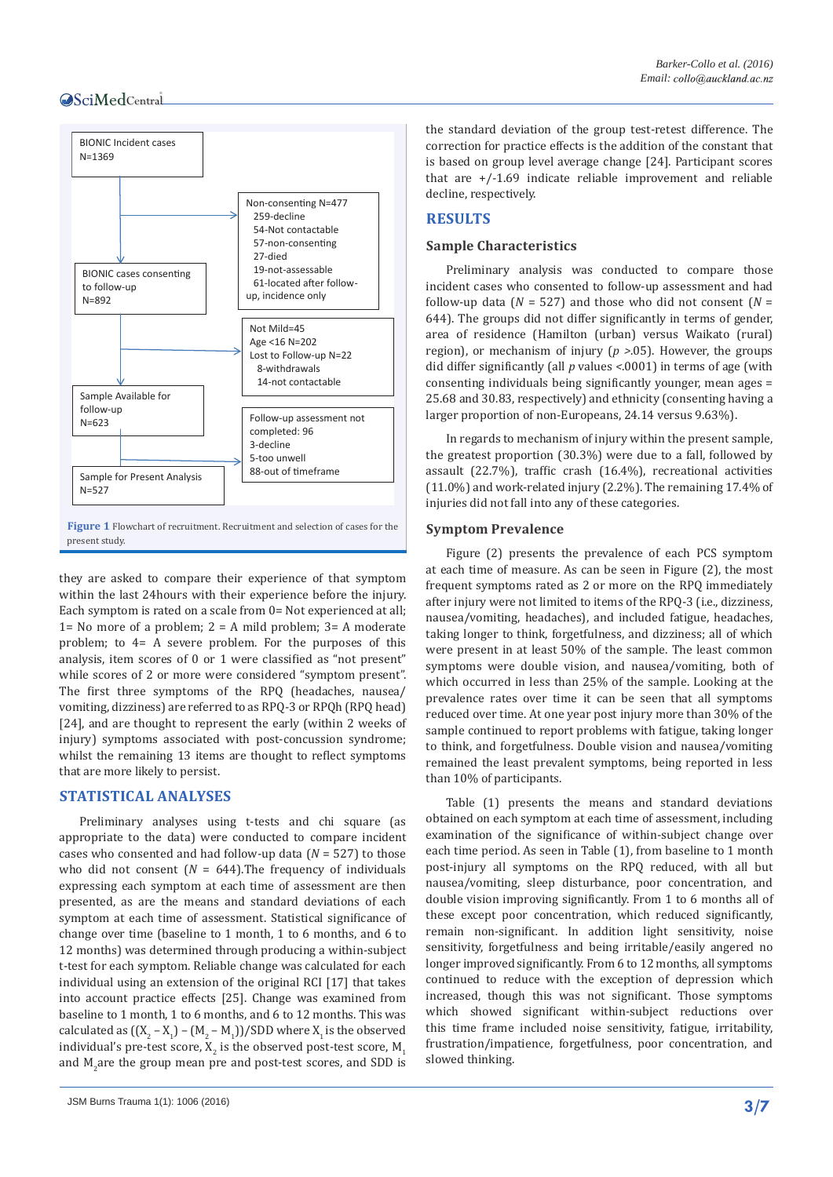

they are asked to compare their experience of that symptom within the last 24hours with their experience before the injury. Each symptom is rated on a scale from 0= Not experienced at all; 1= No more of a problem;  $2 = A$  mild problem;  $3 = A$  moderate problem; to 4= A severe problem. For the purposes of this analysis, item scores of 0 or 1 were classified as "not present" while scores of 2 or more were considered "symptom present". The first three symptoms of the RPQ (headaches, nausea/ vomiting, dizziness) are referred to as RPQ-3 or RPQh (RPQ head) [24], and are thought to represent the early (within 2 weeks of injury) symptoms associated with post-concussion syndrome; whilst the remaining 13 items are thought to reflect symptoms that are more likely to persist.

#### **STATISTICAL ANALYSES**

Preliminary analyses using t-tests and chi square (as appropriate to the data) were conducted to compare incident cases who consented and had follow-up data (*N* = 527) to those who did not consent  $(N = 644)$ . The frequency of individuals expressing each symptom at each time of assessment are then presented, as are the means and standard deviations of each symptom at each time of assessment. Statistical significance of change over time (baseline to 1 month, 1 to 6 months, and 6 to 12 months) was determined through producing a within-subject t-test for each symptom. Reliable change was calculated for each individual using an extension of the original RCI [17] that takes into account practice effects [25]. Change was examined from baseline to 1 month, 1 to 6 months, and 6 to 12 months. This was calculated as  $((X_2 - X_1) - (M_2 - M_1))/SDD$  where  $X_1$  is the observed individual's pre-test score,  $\mathtt{X}_2$  is the observed post-test score,  $\mathtt{M}_1$ and  $M_2$ are the group mean pre and post-test scores, and SDD is the standard deviation of the group test-retest difference. The correction for practice effects is the addition of the constant that is based on group level average change [24]. Participant scores that are +/-1.69 indicate reliable improvement and reliable decline, respectively.

# **RESULTS**

### **Sample Characteristics**

Preliminary analysis was conducted to compare those incident cases who consented to follow-up assessment and had follow-up data  $(N = 527)$  and those who did not consent  $(N = 100)$ 644). The groups did not differ significantly in terms of gender, area of residence (Hamilton (urban) versus Waikato (rural) region), or mechanism of injury (*p >*.05). However, the groups did differ significantly (all *p* values *<*.0001) in terms of age (with consenting individuals being significantly younger, mean ages = 25.68 and 30.83, respectively) and ethnicity (consenting having a larger proportion of non-Europeans, 24.14 versus 9.63%).

In regards to mechanism of injury within the present sample, the greatest proportion (30.3%) were due to a fall, followed by assault (22.7%), traffic crash (16.4%), recreational activities (11.0%) and work-related injury (2.2%). The remaining 17.4% of injuries did not fall into any of these categories.

#### **Symptom Prevalence**

Figure (2) presents the prevalence of each PCS symptom at each time of measure. As can be seen in Figure (2), the most frequent symptoms rated as 2 or more on the RPQ immediately after injury were not limited to items of the RPQ-3 (i.e., dizziness, nausea/vomiting, headaches), and included fatigue, headaches, taking longer to think, forgetfulness, and dizziness; all of which were present in at least 50% of the sample. The least common symptoms were double vision, and nausea/vomiting, both of which occurred in less than 25% of the sample. Looking at the prevalence rates over time it can be seen that all symptoms reduced over time. At one year post injury more than 30% of the sample continued to report problems with fatigue, taking longer to think, and forgetfulness. Double vision and nausea/vomiting remained the least prevalent symptoms, being reported in less than 10% of participants.

Table (1) presents the means and standard deviations obtained on each symptom at each time of assessment, including examination of the significance of within-subject change over each time period. As seen in Table (1), from baseline to 1 month post-injury all symptoms on the RPQ reduced, with all but nausea/vomiting, sleep disturbance, poor concentration, and double vision improving significantly. From 1 to 6 months all of these except poor concentration, which reduced significantly, remain non-significant. In addition light sensitivity, noise sensitivity, forgetfulness and being irritable/easily angered no longer improved significantly. From 6 to 12 months, all symptoms continued to reduce with the exception of depression which increased, though this was not significant. Those symptoms which showed significant within-subject reductions over this time frame included noise sensitivity, fatigue, irritability, frustration/impatience, forgetfulness, poor concentration, and slowed thinking.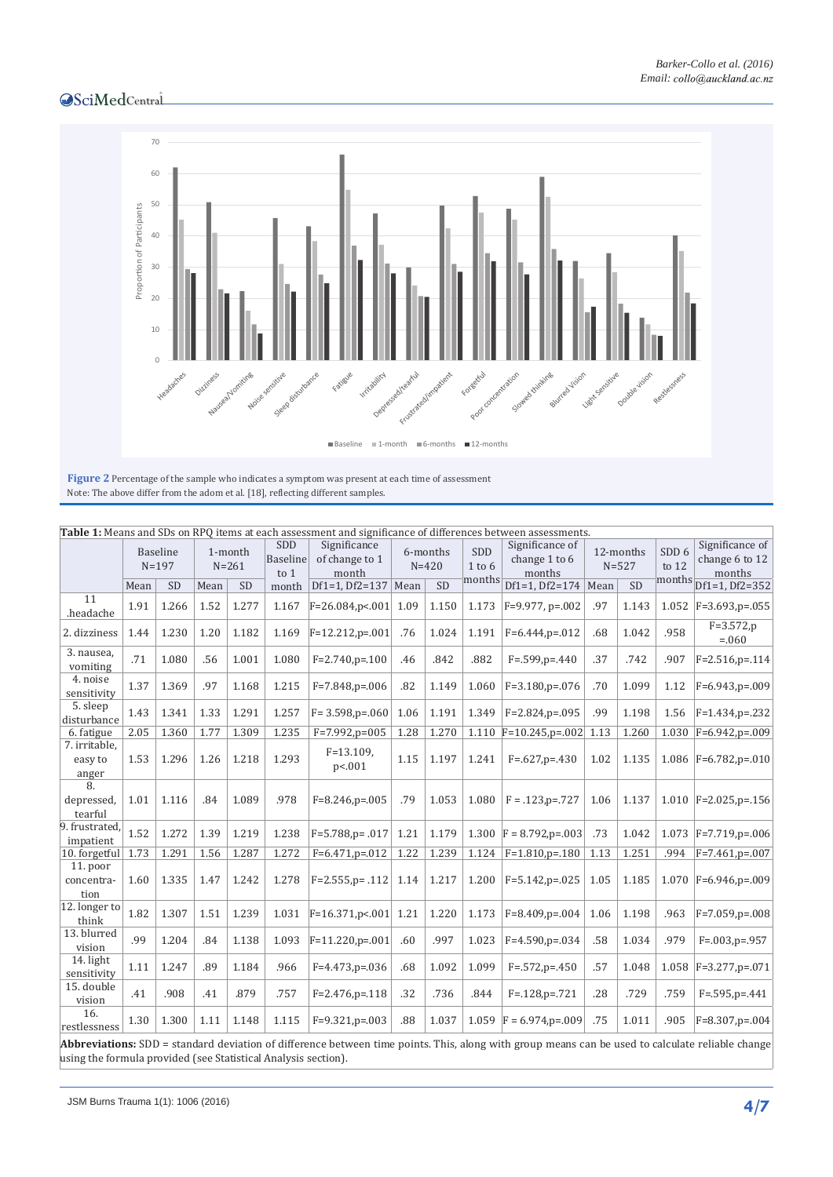

Note: The above differ from the adom et al. [18], reflecting different samples.

| Table 1: Means and SDs on RPQ items at each assessment and significance of differences between assessments. |                              |           |                      |           |                                |                                         |                       |       |                                    |                                            |                        |           |                                       |                                             |
|-------------------------------------------------------------------------------------------------------------|------------------------------|-----------|----------------------|-----------|--------------------------------|-----------------------------------------|-----------------------|-------|------------------------------------|--------------------------------------------|------------------------|-----------|---------------------------------------|---------------------------------------------|
|                                                                                                             | <b>Baseline</b><br>$N = 197$ |           | 1-month<br>$N = 261$ |           | SDD<br><b>Baseline</b><br>to 1 | Significance<br>of change to 1<br>month | 6-months<br>$N = 420$ |       | <b>SDD</b><br>$1$ to $6$<br>months | Significance of<br>change 1 to 6<br>months | 12-months<br>$N = 527$ |           | SDD <sub>6</sub><br>to $12$<br>months | Significance of<br>change 6 to 12<br>months |
|                                                                                                             | Mean                         | <b>SD</b> | Mean                 | <b>SD</b> | month                          | Df1=1, Df2=137   Mean                   |                       | SD    |                                    | Df1=1, Df2=174 Mean                        |                        | <b>SD</b> |                                       | Df1=1, Df2=352                              |
| 11<br>.headache                                                                                             | 1.91                         | 1.266     | 1.52                 | 1.277     | 1.167                          | $F = 26.084$ , p <. 001                 | 1.09                  | 1.150 | 1.173                              | $F=9.977$ , p=.002                         | .97                    | 1.143     | 1.052                                 | $F = 3.693$ , p=.055                        |
| 2. dizziness                                                                                                | 1.44                         | 1.230     | 1.20                 | 1.182     | 1.169                          | $F=12.212$ , $p=.001$                   | .76                   | 1.024 | 1.191                              | $F=6.444$ , $p=.012$                       | .68                    | 1.042     | .958                                  | $F = 3.572$ , p<br>$=.060$                  |
| 3. nausea,<br>vomiting                                                                                      | .71                          | 1.080     | .56                  | 1.001     | 1.080                          | $F=2.740$ , $p=.100$                    | .46                   | .842  | .882                               | $F=.599,p=.440$                            | .37                    | .742      | .907                                  | $F = 2.516$ , $p = 0.114$                   |
| 4. noise<br>sensitivity                                                                                     | 1.37                         | 1.369     | .97                  | 1.168     | 1.215                          | $F = 7.848$ , $p = .006$                | .82                   | 1.149 | 1.060                              | $F=3.180$ , $p=.076$                       | .70                    | 1.099     | 1.12                                  | $F=6.943$ , p=.009                          |
| 5. sleep<br>disturbance                                                                                     | 1.43                         | 1.341     | 1.33                 | 1.291     | 1.257                          | $F = 3.598$ , $p = 0.060$               | 1.06                  | 1.191 | 1.349                              | $F = 2.824$ , $p = 0.095$                  | .99                    | 1.198     | 1.56                                  | $F = 1.434$ , p=.232                        |
| 6. fatigue                                                                                                  | 2.05                         | 1.360     | 1.77                 | 1.309     | 1.235                          | $F=7.992$ , $p=005$                     | 1.28                  | 1.270 |                                    | 1.110 $F=10.245$ , p=.002                  | 1.13                   | 1.260     |                                       | 1.030 $ F=6.942$ , p=.009                   |
| 7. irritable,<br>easy to<br>anger                                                                           | 1.53                         | 1.296     | 1.26                 | 1.218     | 1.293                          | $F = 13.109$ ,<br>p<.001                | 1.15                  | 1.197 | 1.241                              | $F=.627,p=.430$                            | 1.02                   | 1.135     |                                       | 1.086   $F=6.782$ , p=.010                  |
| 8.<br>depressed,<br>tearful                                                                                 | 1.01                         | 1.116     | .84                  | 1.089     | .978                           | $F=8.246$ , $p=.005$                    | .79                   | 1.053 | 1.080                              | $F = .123$ , $p = .727$                    | 1.06                   | 1.137     |                                       | 1.010 $ F=2.025,p=.156$                     |
| 9. frustrated,<br>impatient                                                                                 | 1.52                         | 1.272     | 1.39                 | 1.219     | 1.238                          | $F=5.788$ , p= .017                     | 1.21                  | 1.179 | 1.300                              | $F = 8.792$ , $p = .003$                   | .73                    | 1.042     |                                       | $1.073$ F=7.719,p=.006                      |
| 10. forgetful                                                                                               | 1.73                         | 1.291     | 1.56                 | 1.287     | 1.272                          | $F=6.471$ , $p=.012$                    | 1.22                  | 1.239 | 1.124                              | $F=1.810$ , $p=.180$                       | 1.13                   | 1.251     | .994                                  | $F = 7.461$ , p=.007                        |
| $11.$ poor<br>concentra-<br>tion                                                                            | 1.60                         | 1.335     | 1.47                 | 1.242     | 1.278                          | $F=2.555, p=.112$                       | 1.14                  | 1.217 | 1.200                              | $F = 5.142$ , $p = 0.025$                  | 1.05                   | 1.185     |                                       | 1.070   $F=6.946$ , p=.009                  |
| 12. longer to<br>think                                                                                      | 1.82                         | 1.307     | 1.51                 | 1.239     | 1.031                          | $F=16.371$ , p<. 001 1.21               |                       | 1.220 | 1.173                              | $F=8.409$ , $p=.004$                       | 1.06                   | 1.198     | .963                                  | $F = 7.059$ , p=.008                        |
| 13. blurred<br>vision                                                                                       | .99                          | 1.204     | .84                  | 1.138     | 1.093                          | $F=11.220$ , $p=.001$                   | .60                   | .997  | 1.023                              | $F=4.590, p=.034$                          | .58                    | 1.034     | .979                                  | $F=.003,p=.957$                             |
| 14. light<br>sensitivity                                                                                    | 1.11                         | 1.247     | .89                  | 1.184     | .966                           | $F=4.473$ , p=.036                      | .68                   | 1.092 | 1.099                              | $F = .572$ , $p = .450$                    | .57                    | 1.048     | 1.058                                 | $F = 3.277$ , p=.071                        |
| 15. double<br>vision                                                                                        | .41                          | .908      | .41                  | .879      | .757                           | $F = 2.476$ , $p = 118$                 | .32                   | .736  | .844                               | $F = 128, p = 721$                         | .28                    | .729      | .759                                  | $F = .595, p = .441$                        |
| 16.<br>restlessness                                                                                         | 1.30                         | 1.300     | 1.11                 | 1.148     | 1.115                          | $F=9.321$ , $p=.003$                    | .88                   | 1.037 | 1.059                              | $F = 6.974$ , $p = 0.09$                   | .75                    | 1.011     | .905                                  | $F=8.307$ , $p=.004$                        |

**Abbreviations:** SDD = standard deviation of difference between time points. This, along with group means can be used to calculate reliable change using the formula provided (see Statistical Analysis section).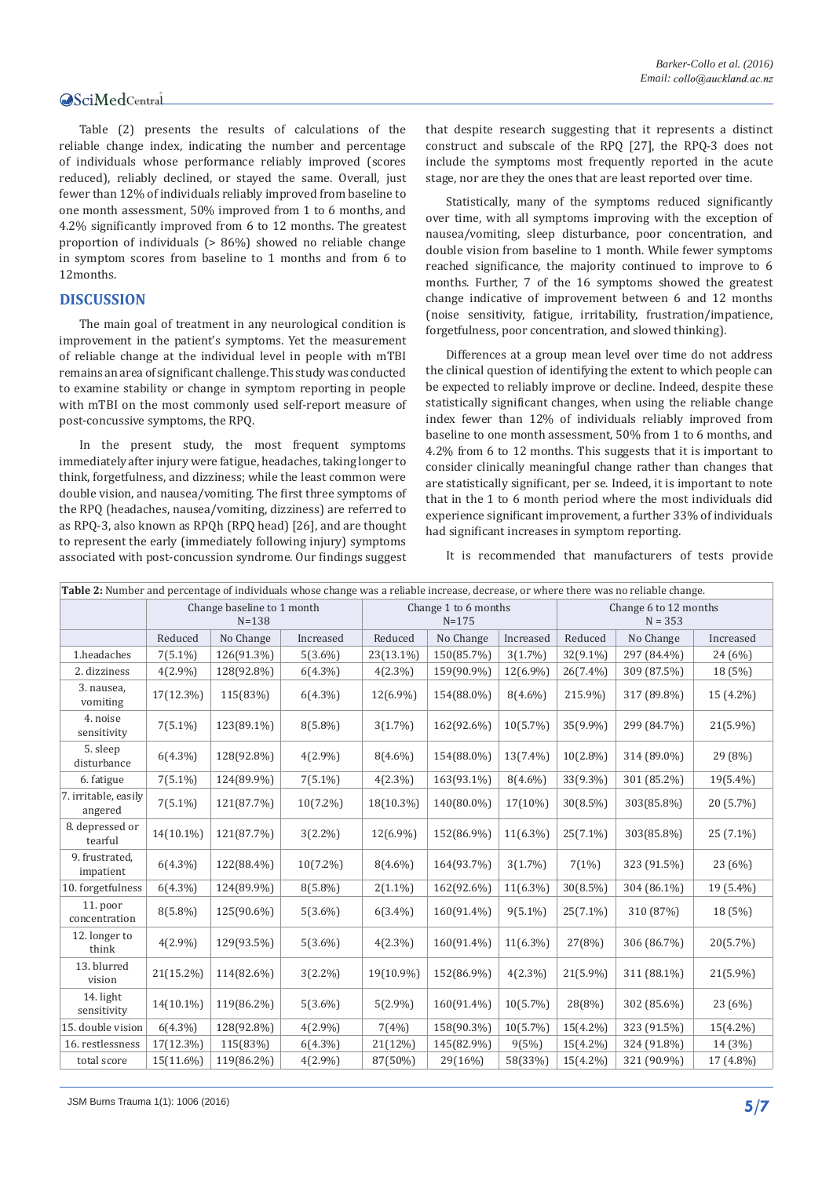Table (2) presents the results of calculations of the reliable change index, indicating the number and percentage of individuals whose performance reliably improved (scores reduced), reliably declined, or stayed the same. Overall, just fewer than 12% of individuals reliably improved from baseline to one month assessment, 50% improved from 1 to 6 months, and 4.2% significantly improved from 6 to 12 months. The greatest proportion of individuals (> 86%) showed no reliable change in symptom scores from baseline to 1 months and from 6 to 12months.

### **DISCUSSION**

The main goal of treatment in any neurological condition is improvement in the patient's symptoms. Yet the measurement of reliable change at the individual level in people with mTBI remains an area of significant challenge. This study was conducted to examine stability or change in symptom reporting in people with mTBI on the most commonly used self-report measure of post-concussive symptoms, the RPQ.

In the present study, the most frequent symptoms immediately after injury were fatigue, headaches, taking longer to think, forgetfulness, and dizziness; while the least common were double vision, and nausea/vomiting. The first three symptoms of the RPQ (headaches, nausea/vomiting, dizziness) are referred to as RPQ-3, also known as RPQh (RPQ head) [26], and are thought to represent the early (immediately following injury) symptoms associated with post-concussion syndrome. Our findings suggest

that despite research suggesting that it represents a distinct construct and subscale of the RPQ [27], the RPQ-3 does not include the symptoms most frequently reported in the acute stage, nor are they the ones that are least reported over time.

Statistically, many of the symptoms reduced significantly over time, with all symptoms improving with the exception of nausea/vomiting, sleep disturbance, poor concentration, and double vision from baseline to 1 month. While fewer symptoms reached significance, the majority continued to improve to 6 months. Further, 7 of the 16 symptoms showed the greatest change indicative of improvement between 6 and 12 months (noise sensitivity, fatigue, irritability, frustration/impatience, forgetfulness, poor concentration, and slowed thinking).

Differences at a group mean level over time do not address the clinical question of identifying the extent to which people can be expected to reliably improve or decline. Indeed, despite these statistically significant changes, when using the reliable change index fewer than 12% of individuals reliably improved from baseline to one month assessment, 50% from 1 to 6 months, and 4.2% from 6 to 12 months. This suggests that it is important to consider clinically meaningful change rather than changes that are statistically significant, per se. Indeed, it is important to note that in the 1 to 6 month period where the most individuals did experience significant improvement, a further 33% of individuals had significant increases in symptom reporting.

It is recommended that manufacturers of tests provide

| Table 2: Number and percentage of individuals whose change was a reliable increase, decrease, or where there was no reliable change. |            |                                         |             |             |                                   |             |                                    |             |             |  |  |
|--------------------------------------------------------------------------------------------------------------------------------------|------------|-----------------------------------------|-------------|-------------|-----------------------------------|-------------|------------------------------------|-------------|-------------|--|--|
|                                                                                                                                      |            | Change baseline to 1 month<br>$N = 138$ |             |             | Change 1 to 6 months<br>$N = 175$ |             | Change 6 to 12 months<br>$N = 353$ |             |             |  |  |
|                                                                                                                                      | Reduced    | No Change                               | Increased   | Reduced     | No Change                         | Increased   | Reduced                            | No Change   | Increased   |  |  |
| 1.headaches                                                                                                                          | $7(5.1\%)$ | 126(91.3%)                              | $5(3.6\%)$  | 23(13.1%)   | 150(85.7%)                        | $3(1.7\%)$  | 32(9.1%)                           | 297 (84.4%) | 24 (6%)     |  |  |
| 2. dizziness                                                                                                                         | $4(2.9\%)$ | 128(92.8%)                              | $6(4.3\%)$  | $4(2.3\%)$  | 159(90.9%)                        | 12(6.9%)    | 26(7.4%)                           | 309 (87.5%) | 18 (5%)     |  |  |
| 3. nausea,<br>vomiting                                                                                                               | 17(12.3%)  | 115(83%)                                | $6(4.3\%)$  | 12(6.9%)    | 154(88.0%)                        | 8(4.6%)     | 215.9%)                            | 317 (89.8%) | 15 (4.2%)   |  |  |
| 4. noise<br>sensitivity                                                                                                              | $7(5.1\%)$ | 123(89.1%)                              | 8(5.8%)     | $3(1.7\%)$  | 162(92.6%)                        | $10(5.7\%)$ | 35(9.9%)                           | 299 (84.7%) | 21(5.9%)    |  |  |
| 5. sleep<br>disturbance                                                                                                              | $6(4.3\%)$ | 128(92.8%)                              | $4(2.9\%)$  | $8(4.6\%)$  | 154(88.0%)                        | $13(7.4\%)$ | $10(2.8\%)$                        | 314 (89.0%) | 29 (8%)     |  |  |
| 6. fatigue                                                                                                                           | $7(5.1\%)$ | 124(89.9%)                              | $7(5.1\%)$  | $4(2.3\%)$  | 163(93.1%)                        | $8(4.6\%)$  | 33(9.3%)                           | 301 (85.2%) | 19(5.4%)    |  |  |
| 7. irritable, easily<br>angered                                                                                                      | $7(5.1\%)$ | 121(87.7%)                              | 10(7.2%)    | 18(10.3%)   | 140(80.0%)                        | 17(10%)     | 30(8.5%)                           | 303(85.8%)  | 20 (5.7%)   |  |  |
| 8. depressed or<br>tearful                                                                                                           | 14(10.1%)  | 121(87.7%)                              | $3(2.2\%)$  | $12(6.9\%)$ | 152(86.9%)                        | $11(6.3\%)$ | $25(7.1\%)$                        | 303(85.8%)  | 25 (7.1%)   |  |  |
| 9. frustrated,<br>impatient                                                                                                          | $6(4.3\%)$ | 122(88.4%)                              | $10(7.2\%)$ | $8(4.6\%)$  | 164(93.7%)                        | $3(1.7\%)$  | 7(1%)                              | 323 (91.5%) | 23 (6%)     |  |  |
| 10. forgetfulness                                                                                                                    | $6(4.3\%)$ | 124(89.9%)                              | $8(5.8\%)$  | $2(1.1\%)$  | 162(92.6%)                        | $11(6.3\%)$ | 30(8.5%)                           | 304 (86.1%) | 19 (5.4%)   |  |  |
| $11.$ poor<br>concentration                                                                                                          | $8(5.8\%)$ | 125(90.6%)                              | $5(3.6\%)$  | $6(3.4\%)$  | 160(91.4%)                        | $9(5.1\%)$  | $25(7.1\%)$                        | 310 (87%)   | 18 (5%)     |  |  |
| 12. longer to<br>think                                                                                                               | $4(2.9\%)$ | 129(93.5%)                              | $5(3.6\%)$  | $4(2.3\%)$  | 160(91.4%)                        | $11(6.3\%)$ | 27(8%)                             | 306 (86.7%) | 20(5.7%)    |  |  |
| 13. blurred<br>vision                                                                                                                | 21(15.2%)  | 114(82.6%)                              | $3(2.2\%)$  | 19(10.9%)   | 152(86.9%)                        | $4(2.3\%)$  | 21(5.9%)                           | 311 (88.1%) | 21(5.9%)    |  |  |
| 14. light<br>sensitivity                                                                                                             | 14(10.1%)  | 119(86.2%)                              | $5(3.6\%)$  | $5(2.9\%)$  | 160(91.4%)                        | 10(5.7%)    | 28(8%)                             | 302 (85.6%) | 23 (6%)     |  |  |
| 15. double vision                                                                                                                    | $6(4.3\%)$ | 128(92.8%)                              | $4(2.9\%)$  | 7(4%)       | 158(90.3%)                        | $10(5.7\%)$ | $15(4.2\%)$                        | 323 (91.5%) | $15(4.2\%)$ |  |  |
| 16. restlessness                                                                                                                     | 17(12.3%)  | 115(83%)                                | $6(4.3\%)$  | 21(12%)     | 145(82.9%)                        | 9(5%)       | $15(4.2\%)$                        | 324 (91.8%) | 14 (3%)     |  |  |
| total score                                                                                                                          | 15(11.6%)  | 119(86.2%)                              | $4(2.9\%)$  | 87(50%)     | 29(16%)                           | 58(33%)     | $15(4.2\%)$                        | 321 (90.9%) | 17 (4.8%)   |  |  |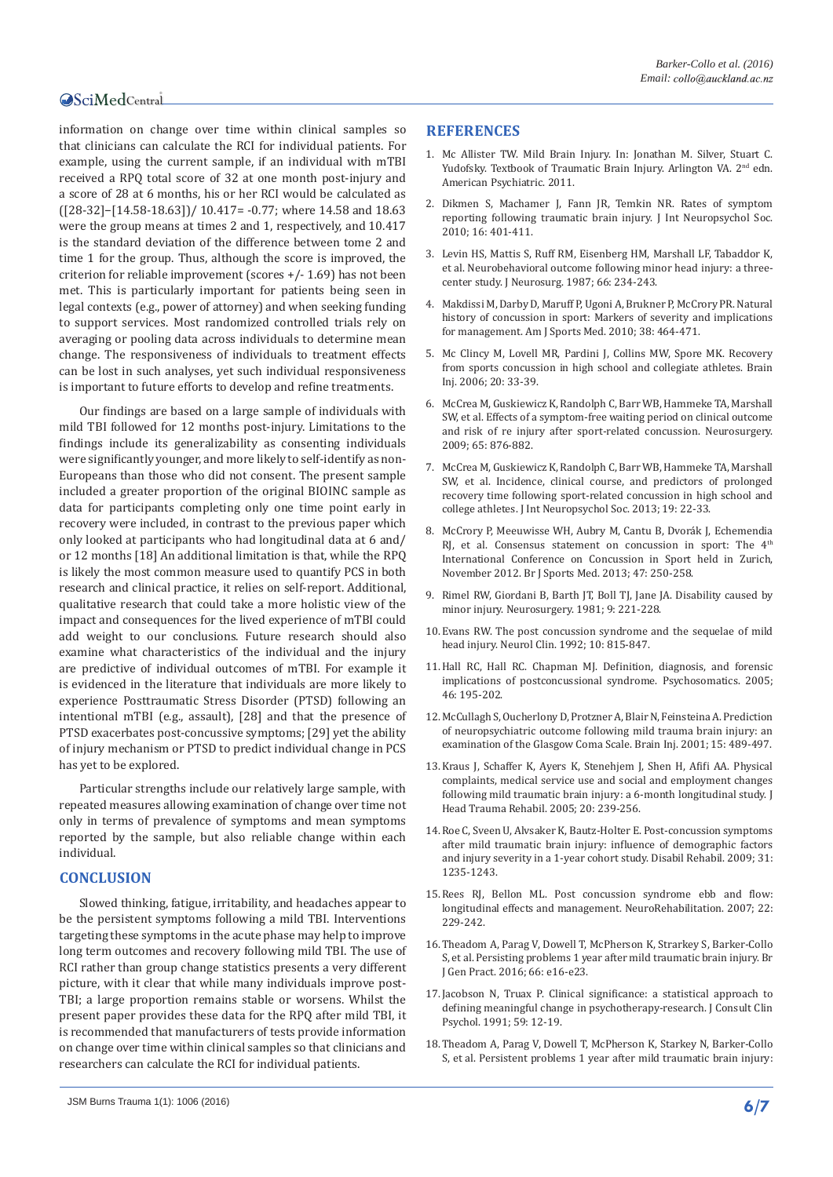information on change over time within clinical samples so that clinicians can calculate the RCI for individual patients. For example, using the current sample, if an individual with mTBI received a RPQ total score of 32 at one month post-injury and a score of 28 at 6 months, his or her RCI would be calculated as ([28-32]−[14.58-18.63])/ 10.417= -0.77; where 14.58 and 18.63 were the group means at times 2 and 1, respectively, and 10.417 is the standard deviation of the difference between tome 2 and time 1 for the group. Thus, although the score is improved, the criterion for reliable improvement (scores +/- 1.69) has not been met. This is particularly important for patients being seen in legal contexts (e.g., power of attorney) and when seeking funding to support services. Most randomized controlled trials rely on averaging or pooling data across individuals to determine mean change. The responsiveness of individuals to treatment effects can be lost in such analyses, yet such individual responsiveness is important to future efforts to develop and refine treatments.

Our findings are based on a large sample of individuals with mild TBI followed for 12 months post-injury. Limitations to the findings include its generalizability as consenting individuals were significantly younger, and more likely to self-identify as non-Europeans than those who did not consent. The present sample included a greater proportion of the original BIOINC sample as data for participants completing only one time point early in recovery were included, in contrast to the previous paper which only looked at participants who had longitudinal data at 6 and/ or 12 months [18] An additional limitation is that, while the RPQ is likely the most common measure used to quantify PCS in both research and clinical practice, it relies on self-report. Additional, qualitative research that could take a more holistic view of the impact and consequences for the lived experience of mTBI could add weight to our conclusions. Future research should also examine what characteristics of the individual and the injury are predictive of individual outcomes of mTBI. For example it is evidenced in the literature that individuals are more likely to experience Posttraumatic Stress Disorder (PTSD) following an intentional mTBI (e.g., assault), [28] and that the presence of PTSD exacerbates post-concussive symptoms; [29] yet the ability of injury mechanism or PTSD to predict individual change in PCS has yet to be explored.

Particular strengths include our relatively large sample, with repeated measures allowing examination of change over time not only in terms of prevalence of symptoms and mean symptoms reported by the sample, but also reliable change within each individual.

### **CONCLUSION**

Slowed thinking, fatigue, irritability, and headaches appear to be the persistent symptoms following a mild TBI. Interventions targeting these symptoms in the acute phase may help to improve long term outcomes and recovery following mild TBI. The use of RCI rather than group change statistics presents a very different picture, with it clear that while many individuals improve post-TBI; a large proportion remains stable or worsens. Whilst the present paper provides these data for the RPQ after mild TBI, it is recommended that manufacturers of tests provide information on change over time within clinical samples so that clinicians and researchers can calculate the RCI for individual patients.

### **REFERENCES**

- 1. Mc Allister TW. Mild Brain Injury. In: Jonathan M. Silver, Stuart C. Yudofsky. Textbook of Traumatic Brain Injury. Arlington VA. 2<sup>nd</sup> edn. American Psychiatric. 2011.
- 2. [Dikmen S, Machamer J, Fann JR, Temkin NR. Rates of symptom](http://journals.cambridge.org/action/displayAbstract?fromPage=online&aid=7637192)  [reporting following traumatic brain injury. J Int Neuropsychol Soc.](http://journals.cambridge.org/action/displayAbstract?fromPage=online&aid=7637192)  [2010; 16: 401-411.](http://journals.cambridge.org/action/displayAbstract?fromPage=online&aid=7637192)
- 3. [Levin HS, Mattis S, Ruff RM, Eisenberg HM, Marshall LF, Tabaddor K,](http://www.ncbi.nlm.nih.gov/pubmed/3806205)  [et al. Neurobehavioral outcome following minor head injury: a three](http://www.ncbi.nlm.nih.gov/pubmed/3806205)[center study. J Neurosurg. 1987; 66: 234-243.](http://www.ncbi.nlm.nih.gov/pubmed/3806205)
- 4. [Makdissi M, Darby D, Maruff P, Ugoni A, Brukner P, McCrory PR. Natural](http://ajs.sagepub.com/content/early/2010/01/08/0363546509349491)  [history of concussion in sport: Markers of severity and implications](http://ajs.sagepub.com/content/early/2010/01/08/0363546509349491)  [for management. Am J Sports Med. 2010; 38: 464-471.](http://ajs.sagepub.com/content/early/2010/01/08/0363546509349491)
- 5. [Mc Clincy M, Lovell MR, Pardini J, Collins MW, Spore MK. Recovery](http://www.ncbi.nlm.nih.gov/pubmed/16403698)  [from sports concussion in high school and collegiate athletes. Brain](http://www.ncbi.nlm.nih.gov/pubmed/16403698)  [Inj. 2006; 20: 33-39.](http://www.ncbi.nlm.nih.gov/pubmed/16403698)
- 6. [McCrea M, Guskiewicz K, Randolph C, Barr WB, Hammeke TA, Marshall](http://www.ncbi.nlm.nih.gov/pubmed/19834399)  [SW, et al. Effects of a symptom-free waiting period on clinical outcome](http://www.ncbi.nlm.nih.gov/pubmed/19834399)  [and risk of re injury after sport-related concussion. Neurosurgery.](http://www.ncbi.nlm.nih.gov/pubmed/19834399)  [2009; 65: 876-882.](http://www.ncbi.nlm.nih.gov/pubmed/19834399)
- 7. [McCrea M, Guskiewicz K, Randolph C, Barr WB, Hammeke TA, Marshall](http://www.ncbi.nlm.nih.gov/pubmed/23058235)  [SW, et al. Incidence, clinical course, and predictors of prolonged](http://www.ncbi.nlm.nih.gov/pubmed/23058235)  [recovery time following sport-related concussion in high school and](http://www.ncbi.nlm.nih.gov/pubmed/23058235)  [college athletes. J Int Neuropsychol Soc. 2013; 19: 22-33.](http://www.ncbi.nlm.nih.gov/pubmed/23058235)
- 8. [McCrory P, Meeuwisse WH, Aubry M, Cantu B, Dvorák J, Echemendia](http://www.ncbi.nlm.nih.gov/pubmed/23479479)  RJ, et al. Consensus statement on concussion in sport: The 4<sup>th</sup> [International Conference on Concussion in Sport held in Zurich,](http://www.ncbi.nlm.nih.gov/pubmed/23479479)  [November 2012. Br J Sports Med. 2013; 47: 250-258.](http://www.ncbi.nlm.nih.gov/pubmed/23479479)
- 9. [Rimel RW, Giordani B, Barth JT, Boll TJ, Jane JA. Disability caused by](http://www.ncbi.nlm.nih.gov/pubmed/7301062)  [minor injury. Neurosurgery. 1981; 9: 221-228.](http://www.ncbi.nlm.nih.gov/pubmed/7301062)
- 10.[Evans RW. The post concussion syndrome and the sequelae of mild](http://www.ncbi.nlm.nih.gov/pubmed/1435659)  [head injury. Neurol Clin. 1992; 10: 815-847.](http://www.ncbi.nlm.nih.gov/pubmed/1435659)
- 11.[Hall RC, Hall RC. Chapman MJ. Definition, diagnosis, and forensic](http://www.ncbi.nlm.nih.gov/pubmed/15883140)  [implications of postconcussional syndrome. Psychosomatics. 2005;](http://www.ncbi.nlm.nih.gov/pubmed/15883140)  [46: 195-202.](http://www.ncbi.nlm.nih.gov/pubmed/15883140)
- 12.[McCullagh S, Oucherlony D, Protzner A, Blair N, Feinsteina A. Prediction](http://www.ncbi.nlm.nih.gov/pubmed/11394968)  [of neuropsychiatric outcome following mild trauma brain injury: an](http://www.ncbi.nlm.nih.gov/pubmed/11394968)  [examination of the Glasgow Coma Scale. Brain Inj. 2001; 15: 489-497.](http://www.ncbi.nlm.nih.gov/pubmed/11394968)
- 13.[Kraus J, Schaffer K, Ayers K, Stenehjem J, Shen H, Afifi AA. Physical](http://www.ncbi.nlm.nih.gov/pubmed/15908824)  [complaints, medical service use and social and employment changes](http://www.ncbi.nlm.nih.gov/pubmed/15908824)  [following mild traumatic brain injury: a 6-month longitudinal study. J](http://www.ncbi.nlm.nih.gov/pubmed/15908824)  [Head Trauma Rehabil. 2005; 20: 239-256.](http://www.ncbi.nlm.nih.gov/pubmed/15908824)
- 14.[Roe C, Sveen U, Alvsaker K, Bautz-Holter E. Post-concussion symptoms](http://www.ncbi.nlm.nih.gov/pubmed/19116810)  [after mild traumatic brain injury: influence of demographic factors](http://www.ncbi.nlm.nih.gov/pubmed/19116810)  [and injury severity in a 1-year cohort study. Disabil Rehabil. 2009; 31:](http://www.ncbi.nlm.nih.gov/pubmed/19116810)  [1235-1243.](http://www.ncbi.nlm.nih.gov/pubmed/19116810)
- 15.[Rees RJ, Bellon ML. Post concussion syndrome ebb and flow:](http://www.ncbi.nlm.nih.gov/pubmed/17917173)  [longitudinal effects and management. NeuroRehabilitation. 2007; 22:](http://www.ncbi.nlm.nih.gov/pubmed/17917173)  [229-242.](http://www.ncbi.nlm.nih.gov/pubmed/17917173)
- 16.[Theadom A, Parag V, Dowell T, McPherson K, Strarkey S, Barker-Collo](http://www.ncbi.nlm.nih.gov/pubmed/26719482)  [S, et al. Persisting problems 1 year after mild traumatic brain injury. Br](http://www.ncbi.nlm.nih.gov/pubmed/26719482)  [J Gen Pract. 2016; 66: e16-e23.](http://www.ncbi.nlm.nih.gov/pubmed/26719482)
- 17.[Jacobson N, Truax P. Clinical significance: a statistical approach to](http://www.ncbi.nlm.nih.gov/pubmed/2002127)  [defining meaningful change in psychotherapy-research. J Consult Clin](http://www.ncbi.nlm.nih.gov/pubmed/2002127)  [Psychol. 1991; 59: 12-19.](http://www.ncbi.nlm.nih.gov/pubmed/2002127)
- 18.[Theadom A, Parag V, Dowell T, McPherson K, Starkey N, Barker-Collo](http://www.ncbi.nlm.nih.gov/pubmed/26719482)  [S, et al. Persistent problems 1 year after mild traumatic brain injury:](http://www.ncbi.nlm.nih.gov/pubmed/26719482)